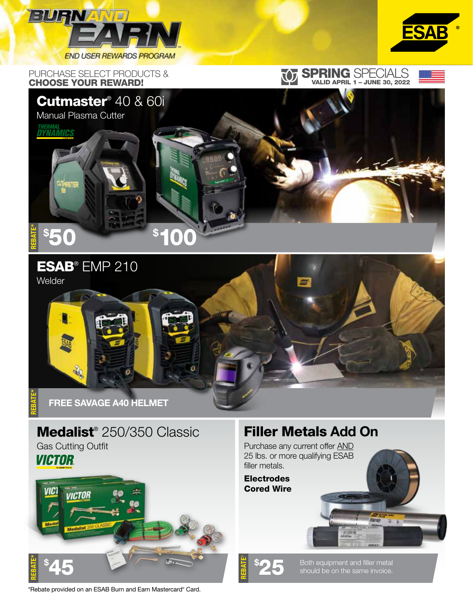

PURCHASE SELECT PRODUCTS & CHOOSE YOUR REWARD!



## SPRING SPECIALS VALID APRIL 1 – JUNE 30, 2022





#### ESAB® EMP 210



# Medalist<sup>®</sup> 250/350 Classic

Gas Cutting Outfit **VICTOR** 



### Filler Metals Add On

Purchase any current offer AND 25 lbs. or more qualifying ESAB filler metals.

**Electrodes** Cored Wire

REBATE†

25 Both equipment and filler metal should be on the same invoice.

\*Rebate provided on an ESAB Burn and Earn Mastercard® Card.